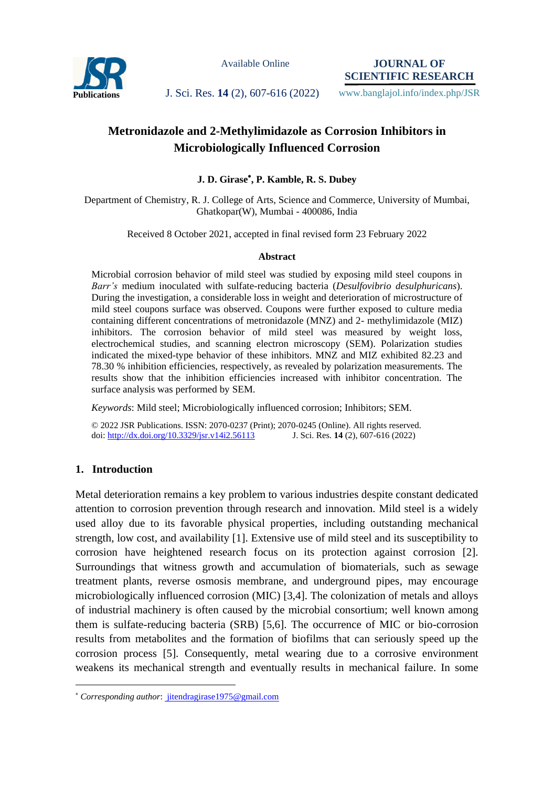

Available Online

**JOURNAL OF SCIENTIFIC RESEARCH**

Publications J. Sci. Res. 14 (2), 607-616 (2022) www.banglajol.info/index.php/JSR

# **Metronidazole and 2-Methylimidazole as Corrosion Inhibitors in Microbiologically Influenced Corrosion**

# **J. D. Girase , P. Kamble, R. S. Dubey**

Department of Chemistry, R. J. College of Arts, Science and Commerce, University of Mumbai, Ghatkopar(W), Mumbai - 400086, India

Received 8 October 2021, accepted in final revised form 23 February 2022

### **Abstract**

Microbial corrosion behavior of mild steel was studied by exposing mild steel coupons in *Barr's* medium inoculated with sulfate-reducing bacteria (*Desulfovibrio desulphuricans*). During the investigation, a considerable loss in weight and deterioration of microstructure of mild steel coupons surface was observed. Coupons were further exposed to culture media containing different concentrations of metronidazole (MNZ) and 2- methylimidazole (MIZ) inhibitors. The corrosion behavior of mild steel was measured by weight loss, electrochemical studies, and scanning electron microscopy (SEM). Polarization studies indicated the mixed-type behavior of these inhibitors. MNZ and MIZ exhibited 82.23 and 78.30 % inhibition efficiencies, respectively, as revealed by polarization measurements. The results show that the inhibition efficiencies increased with inhibitor concentration. The surface analysis was performed by SEM.

*Keywords*: Mild steel; Microbiologically influenced corrosion; Inhibitors; SEM.

© 2022 JSR Publications. ISSN: 2070-0237 (Print); 2070-0245 (Online). All rights reserved. doi:<http://dx.doi.org/10.3329/jsr.v14i2.56113>J. Sci. Res. **14** (2), 607-616 (2022)

# **1. Introduction**

Metal deterioration remains a key problem to various industries despite constant dedicated attention to corrosion prevention through research and innovation. Mild steel is a widely used alloy due to its favorable physical properties, including outstanding mechanical strength, low cost, and availability [1]. Extensive use of mild steel and its susceptibility to corrosion have heightened research focus on its protection against corrosion [2]. Surroundings that witness growth and accumulation of biomaterials, such as sewage treatment plants, reverse osmosis membrane, and underground pipes, may encourage microbiologically influenced corrosion (MIC) [3,4]. The colonization of metals and alloys of industrial machinery is often caused by the microbial consortium; well known among them is sulfate-reducing bacteria (SRB) [5,6]. The occurrence of MIC or bio-corrosion results from metabolites and the formation of biofilms that can seriously speed up the corrosion process [5]. Consequently, metal wearing due to a corrosive environment weakens its mechanical strength and eventually results in mechanical failure. In some

 $\overline{a}$ *Corresponding author*[: jitendragirase1975@gmail.com](mailto:mahbubchem@cu.ac.bd)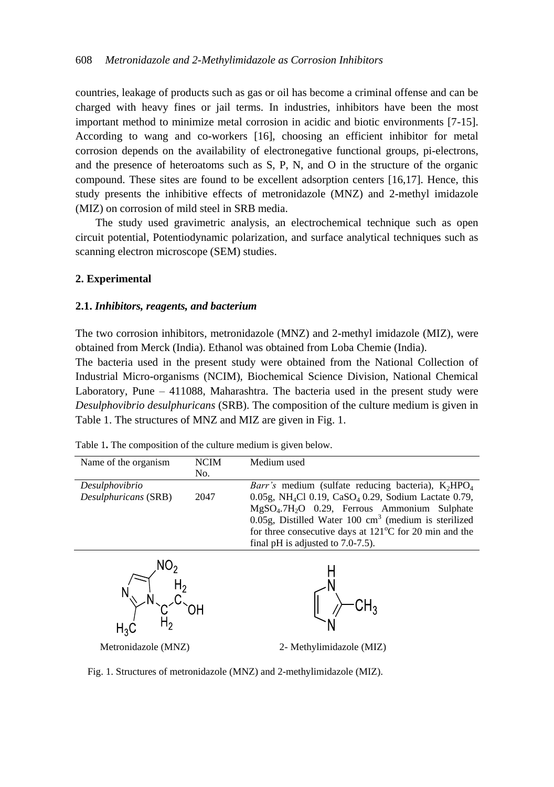countries, leakage of products such as gas or oil has become a criminal offense and can be charged with heavy fines or jail terms. In industries, inhibitors have been the most important method to minimize metal corrosion in acidic and biotic environments [7-15]. According to wang and co-workers [16], choosing an efficient inhibitor for metal corrosion depends on the availability of electronegative functional groups, pi-electrons, and the presence of heteroatoms such as S, P, N, and O in the structure of the organic compound. These sites are found to be excellent adsorption centers [16,17]. Hence, this study presents the inhibitive effects of metronidazole (MNZ) and 2-methyl imidazole (MIZ) on corrosion of mild steel in SRB media.

The study used gravimetric analysis, an electrochemical technique such as open circuit potential, Potentiodynamic polarization, and surface analytical techniques such as scanning electron microscope (SEM) studies.

### **2. Experimental**

#### **2.1.** *Inhibitors, reagents, and bacterium*

The two corrosion inhibitors, metronidazole (MNZ) and 2-methyl imidazole (MIZ), were obtained from Merck (India). Ethanol was obtained from Loba Chemie (India).

The bacteria used in the present study were obtained from the National Collection of Industrial Micro-organisms (NCIM), Biochemical Science Division, National Chemical Laboratory, Pune – 411088, Maharashtra. The bacteria used in the present study were *Desulphovibrio desulphuricans* (SRB). The composition of the culture medium is given in Table 1. The structures of MNZ and MIZ are given in Fig. 1.

| Name of the organism | <b>NCIM</b> | Medium used                                                                  |  |  |
|----------------------|-------------|------------------------------------------------------------------------------|--|--|
|                      | No.         |                                                                              |  |  |
| Desulphovibrio       |             | <i>Barr's</i> medium (sulfate reducing bacteria), $K_2HPO_4$                 |  |  |
| Desulphuricans (SRB) | 2047        | 0.05g, NH <sub>4</sub> Cl 0.19, CaSO <sub>4</sub> 0.29, Sodium Lactate 0.79, |  |  |
|                      |             | MgSO <sub>4</sub> .7H <sub>2</sub> O 0.29, Ferrous Ammonium Sulphate         |  |  |
|                      |             | $0.05$ g, Distilled Water 100 cm <sup>3</sup> (medium is sterilized          |  |  |
|                      |             | for three consecutive days at $121^{\circ}$ C for 20 min and the             |  |  |
|                      |             | final pH is adjusted to $7.0-7.5$ ).                                         |  |  |
|                      |             |                                                                              |  |  |
|                      |             |                                                                              |  |  |
|                      |             |                                                                              |  |  |
|                      |             |                                                                              |  |  |
|                      |             |                                                                              |  |  |
|                      |             |                                                                              |  |  |
|                      |             |                                                                              |  |  |
|                      |             |                                                                              |  |  |
| Metronidazole (MNZ)  |             | 2- Methylimidazole (MIZ)                                                     |  |  |
|                      |             |                                                                              |  |  |

Table 1**.** The composition of the culture medium is given below.

Fig. 1. Structures of metronidazole (MNZ) and 2-methylimidazole (MIZ).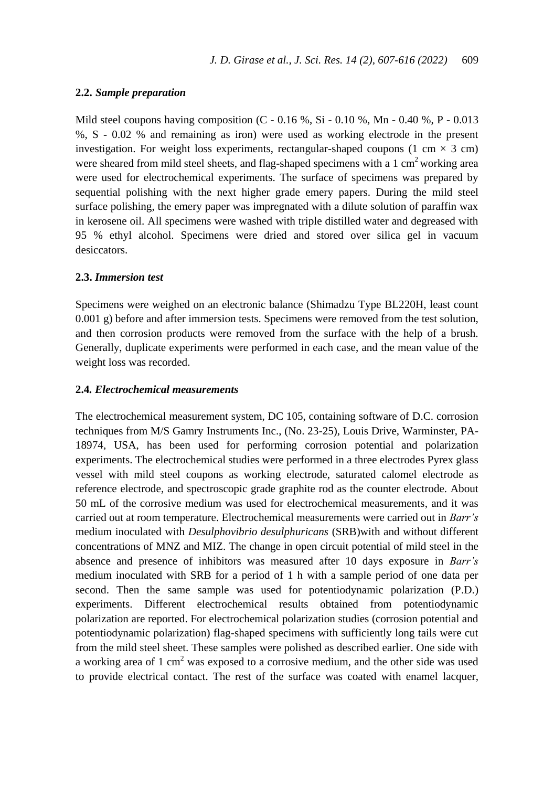### **2.2.** *Sample preparation*

Mild steel coupons having composition  $(C - 0.16\%$ , Si  $- 0.10\%$ , Mn  $- 0.40\%$ , P  $- 0.013$ %, S - 0.02 % and remaining as iron) were used as working electrode in the present investigation. For weight loss experiments, rectangular-shaped coupons (1 cm  $\times$  3 cm) were sheared from mild steel sheets, and flag-shaped specimens with a  $1 \text{ cm}^2$  working area were used for electrochemical experiments. The surface of specimens was prepared by sequential polishing with the next higher grade emery papers. During the mild steel surface polishing, the emery paper was impregnated with a dilute solution of paraffin wax in kerosene oil. All specimens were washed with triple distilled water and degreased with 95 % ethyl alcohol. Specimens were dried and stored over silica gel in vacuum desiccators.

# **2.3.** *Immersion test*

Specimens were weighed on an electronic balance (Shimadzu Type BL220H, least count 0.001 g) before and after immersion tests. Specimens were removed from the test solution, and then corrosion products were removed from the surface with the help of a brush. Generally, duplicate experiments were performed in each case, and the mean value of the weight loss was recorded.

# **2.4***. Electrochemical measurements*

The electrochemical measurement system, DC 105, containing software of D.C. corrosion techniques from M/S Gamry Instruments Inc., (No. 23-25), Louis Drive, Warminster, PA-18974, USA, has been used for performing corrosion potential and polarization experiments. The electrochemical studies were performed in a three electrodes Pyrex glass vessel with mild steel coupons as working electrode, saturated calomel electrode as reference electrode, and spectroscopic grade graphite rod as the counter electrode. About 50 mL of the corrosive medium was used for electrochemical measurements, and it was carried out at room temperature. Electrochemical measurements were carried out in *Barr's* medium inoculated with *Desulphovibrio desulphuricans* (SRB)with and without different concentrations of MNZ and MIZ. The change in open circuit potential of mild steel in the absence and presence of inhibitors was measured after 10 days exposure in *Barr's* medium inoculated with SRB for a period of 1 h with a sample period of one data per second. Then the same sample was used for potentiodynamic polarization (P.D.) experiments. Different electrochemical results obtained from potentiodynamic polarization are reported. For electrochemical polarization studies (corrosion potential and potentiodynamic polarization) flag-shaped specimens with sufficiently long tails were cut from the mild steel sheet. These samples were polished as described earlier. One side with a working area of 1 cm<sup>2</sup> was exposed to a corrosive medium, and the other side was used to provide electrical contact. The rest of the surface was coated with enamel lacquer,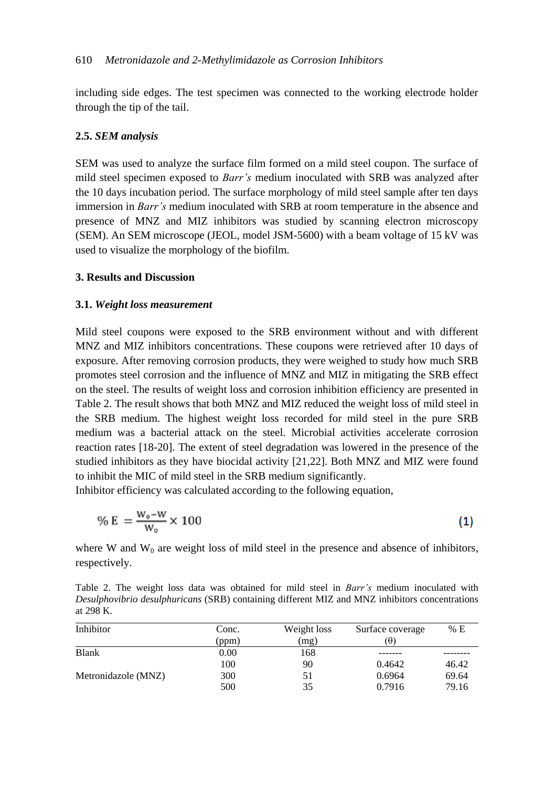including side edges. The test specimen was connected to the working electrode holder through the tip of the tail.

#### **2.5.** *SEM analysis*

SEM was used to analyze the surface film formed on a mild steel coupon. The surface of mild steel specimen exposed to *Barr's* medium inoculated with SRB was analyzed after the 10 days incubation period. The surface morphology of mild steel sample after ten days immersion in *Barr's* medium inoculated with SRB at room temperature in the absence and presence of MNZ and MIZ inhibitors was studied by scanning electron microscopy (SEM). An SEM microscope (JEOL, model JSM-5600) with a beam voltage of 15 kV was used to visualize the morphology of the biofilm.

# **3. Results and Discussion**

#### **3.1.** *Weight loss measurement*

Mild steel coupons were exposed to the SRB environment without and with different MNZ and MIZ inhibitors concentrations. These coupons were retrieved after 10 days of exposure. After removing corrosion products, they were weighed to study how much SRB promotes steel corrosion and the influence of MNZ and MIZ in mitigating the SRB effect on the steel. The results of weight loss and corrosion inhibition efficiency are presented in Table 2. The result shows that both MNZ and MIZ reduced the weight loss of mild steel in the SRB medium. The highest weight loss recorded for mild steel in the pure SRB medium was a bacterial attack on the steel. Microbial activities accelerate corrosion reaction rates [18-20]. The extent of steel degradation was lowered in the presence of the studied inhibitors as they have biocidal activity [21,22]. Both MNZ and MIZ were found to inhibit the MIC of mild steel in the SRB medium significantly.

Inhibitor efficiency was calculated according to the following equation,

$$
\% E = \frac{W_0 - W}{W_0} \times 100
$$
 (1)

where W and  $W_0$  are weight loss of mild steel in the presence and absence of inhibitors, respectively.

Table 2. The weight loss data was obtained for mild steel in *Barr's* medium inoculated with *Desulphovibrio desulphuricans* (SRB) containing different MIZ and MNZ inhibitors concentrations at 298 K.

| Inhibitor           | Conc. | Weight loss | Surface coverage | % E   |
|---------------------|-------|-------------|------------------|-------|
|                     | (ppm) | (mg)        | (ፀ)              |       |
| <b>Blank</b>        | 0.00  | 168         |                  |       |
|                     | 100   | 90          | 0.4642           | 46.42 |
| Metronidazole (MNZ) | 300   | 51          | 0.6964           | 69.64 |
|                     | 500   | 35          | 0.7916           | 79.16 |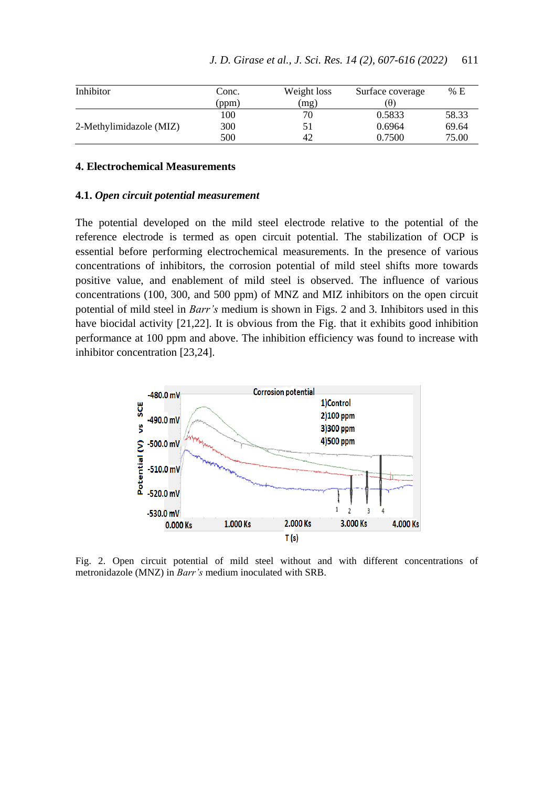| Inhibitor               | Conc. | Weight loss | Surface coverage | % E   |
|-------------------------|-------|-------------|------------------|-------|
|                         | (ppm  | (mg)        | ίθ.              |       |
|                         | 100   | 70          | 0.5833           | 58.33 |
| 2-Methylimidazole (MIZ) | 300   |             | 0.6964           | 69.64 |
|                         | 500   | 42          | 0.7500           | 75.00 |

# **4. Electrochemical Measurements**

#### **4.1.** *Open circuit potential measurement*

The potential developed on the mild steel electrode relative to the potential of the reference electrode is termed as open circuit potential. The stabilization of OCP is essential before performing electrochemical measurements. In the presence of various concentrations of inhibitors, the corrosion potential of mild steel shifts more towards positive value, and enablement of mild steel is observed. The influence of various concentrations (100, 300, and 500 ppm) of MNZ and MIZ inhibitors on the open circuit potential of mild steel in *Barr's* medium is shown in Figs. 2 and 3. Inhibitors used in this have biocidal activity [21,22]. It is obvious from the Fig. that it exhibits good inhibition performance at 100 ppm and above. The inhibition efficiency was found to increase with inhibitor concentration [23,24].



Fig. 2. Open circuit potential of mild steel without and with different concentrations of metronidazole (MNZ) in *Barr's* medium inoculated with SRB.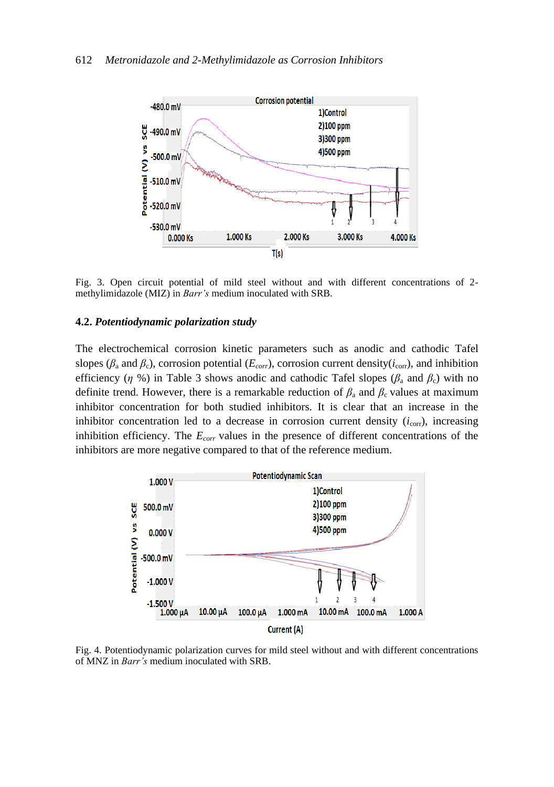

Fig. 3. Open circuit potential of mild steel without and with different concentrations of 2 methylimidazole (MIZ) in *Barr's* medium inoculated with SRB.

### **4.2.** *Potentiodynamic polarization study*

The electrochemical corrosion kinetic parameters such as anodic and cathodic Tafel slopes ( $\beta$ <sub>a</sub> and  $\beta$ <sub>c</sub>), corrosion potential ( $E_{corr}$ ), corrosion current density( $i_{corr}$ ), and inhibition efficiency ( $\eta$  %) in Table 3 shows anodic and cathodic Tafel slopes ( $\beta_a$  and  $\beta_c$ ) with no definite trend. However, there is a remarkable reduction of  $\beta_a$  and  $\beta_c$  values at maximum inhibitor concentration for both studied inhibitors. It is clear that an increase in the inhibitor concentration led to a decrease in corrosion current density  $(i_{\text{corr}})$ , increasing inhibition efficiency. The *Ecorr* values in the presence of different concentrations of the inhibitors are more negative compared to that of the reference medium.



Fig. 4. Potentiodynamic polarization curves for mild steel without and with different concentrations of MNZ in *Barr's* medium inoculated with SRB.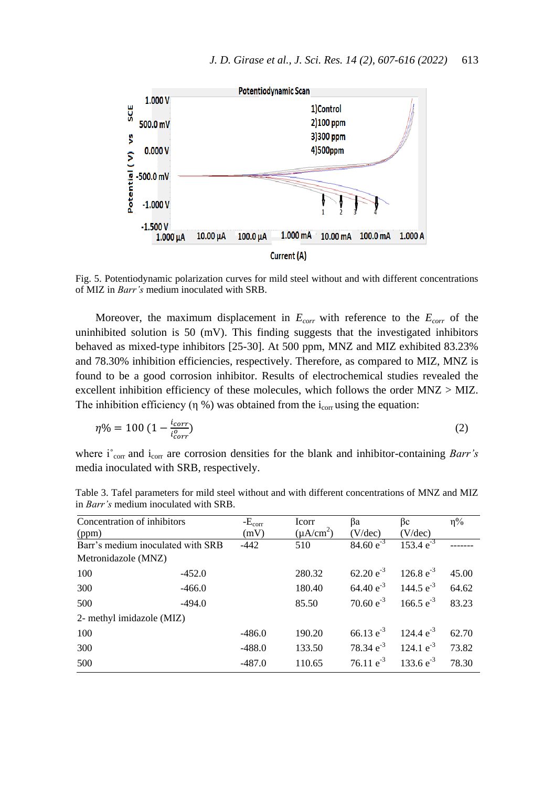

Fig. 5. Potentiodynamic polarization curves for mild steel without and with different concentrations of MIZ in *Barr's* medium inoculated with SRB.

Moreover, the maximum displacement in *Ecorr* with reference to the *Ecorr* of the uninhibited solution is 50 (mV). This finding suggests that the investigated inhibitors behaved as mixed-type inhibitors [25-30]. At 500 ppm, MNZ and MIZ exhibited 83.23% and 78.30% inhibition efficiencies, respectively. Therefore, as compared to MIZ, MNZ is found to be a good corrosion inhibitor. Results of electrochemical studies revealed the excellent inhibition efficiency of these molecules, which follows the order MNZ > MIZ. The inhibition efficiency (η %) was obtained from the  $i_{corr}$  using the equation:

$$
\eta\% = 100 \left(1 - \frac{i_{corr}}{i_{corr}^o}\right) \tag{2}
$$

where i<sup>°</sup><sub>corr</sub> and i<sub>corr</sub> are corrosion densities for the blank and inhibitor-containing *Barr's* media inoculated with SRB, respectively.

| Concentration of inhibitors       |          | $-E_{\rm corr}$ | Icorr          | Вa                     | βc                            | $\eta\%$ |
|-----------------------------------|----------|-----------------|----------------|------------------------|-------------------------------|----------|
| (ppm)                             |          | (mV)            | $(\mu A/cm^2)$ | (V/dec)                | (V/dec)                       |          |
| Barr's medium inoculated with SRB |          | $-442$          | 510            | 84.60 $e^{-3}$         | $153.4 e^{-3}$                |          |
| Metronidazole (MNZ)               |          |                 |                |                        |                               |          |
| 100                               | $-452.0$ |                 | 280.32         | $62.20 e^{-3}$         | 126.8 $e^{-3}$                | 45.00    |
| 300                               | $-466.0$ |                 | 180.40         |                        | 64.40 $e^{-3}$ 144.5 $e^{-3}$ | 64.62    |
| 500                               | $-494.0$ |                 | 85.50          | 70.60 $e^{-3}$         | 166.5 $e^{-3}$                | 83.23    |
| 2- methyl imidazole (MIZ)         |          |                 |                |                        |                               |          |
| 100                               |          | $-486.0$        | 190.20         | 66.13 $e^{-3}$         | $124.4 \text{ e}^{-3}$        | 62.70    |
| 300                               |          | $-488.0$        | 133.50         | 78.34 $e^{-3}$         | 124.1 $e^{-3}$                | 73.82    |
| 500                               |          | $-487.0$        | 110.65         | $76.11 \text{ e}^{-3}$ | 133.6 $e^{-3}$                | 78.30    |

Table 3. Tafel parameters for mild steel without and with different concentrations of MNZ and MIZ in *Barr's* medium inoculated with SRB.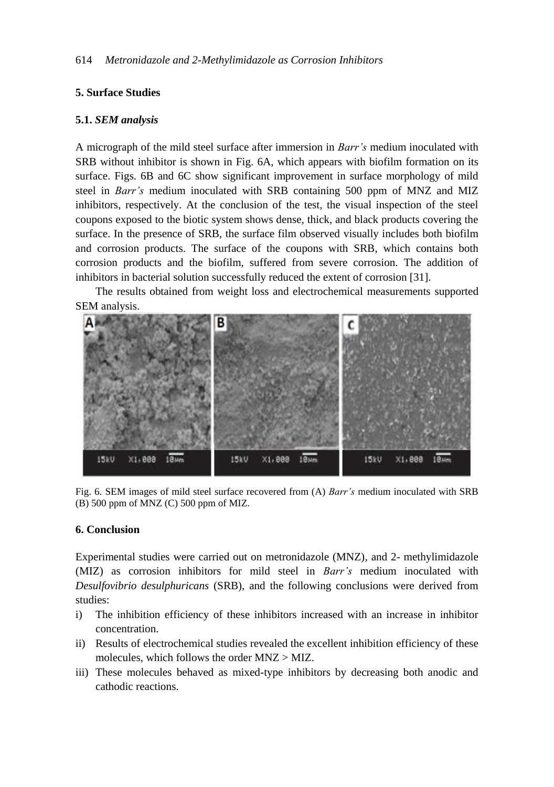# **5. Surface Studies**

### **5.1.** *SEM analysis*

A micrograph of the mild steel surface after immersion in *Barr's* medium inoculated with SRB without inhibitor is shown in Fig. 6A, which appears with biofilm formation on its surface. Figs. 6B and 6C show significant improvement in surface morphology of mild steel in *Barr's* medium inoculated with SRB containing 500 ppm of MNZ and MIZ inhibitors, respectively. At the conclusion of the test, the visual inspection of the steel coupons exposed to the biotic system shows dense, thick, and black products covering the surface. In the presence of SRB, the surface film observed visually includes both biofilm and corrosion products. The surface of the coupons with SRB, which contains both corrosion products and the biofilm, suffered from severe corrosion. The addition of inhibitors in bacterial solution successfully reduced the extent of corrosion [31].

The results obtained from weight loss and electrochemical measurements supported SEM analysis.



Fig. 6. SEM images of mild steel surface recovered from (A) *Barr's* medium inoculated with SRB (B) 500 ppm of MNZ (C) 500 ppm of MIZ.

### **6. Conclusion**

Experimental studies were carried out on metronidazole (MNZ), and 2- methylimidazole (MIZ) as corrosion inhibitors for mild steel in *Barr's* medium inoculated with *Desulfovibrio desulphuricans* (SRB), and the following conclusions were derived from studies:

- i) The inhibition efficiency of these inhibitors increased with an increase in inhibitor concentration.
- ii) Results of electrochemical studies revealed the excellent inhibition efficiency of these molecules, which follows the order MNZ > MIZ.
- iii) These molecules behaved as mixed-type inhibitors by decreasing both anodic and cathodic reactions.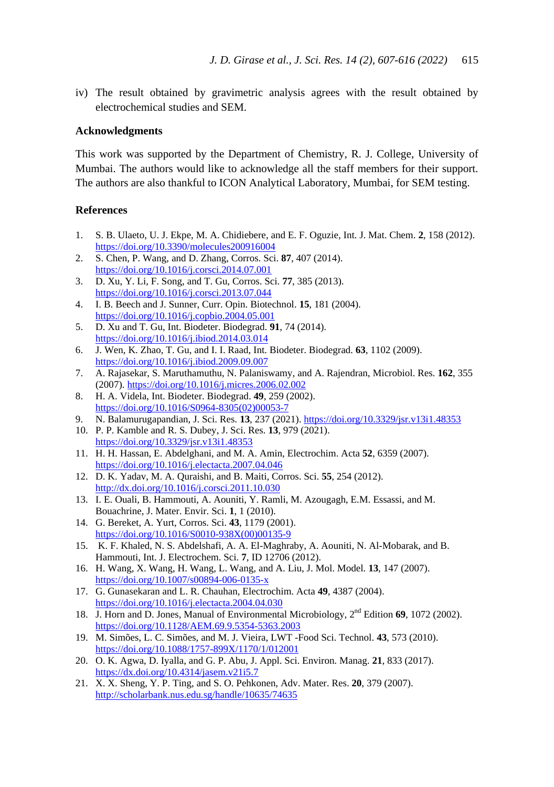iv) The result obtained by gravimetric analysis agrees with the result obtained by electrochemical studies and SEM.

#### **Acknowledgments**

This work was supported by the Department of Chemistry, R. J. College, University of Mumbai. The authors would like to acknowledge all the staff members for their support. The authors are also thankful to ICON Analytical Laboratory, Mumbai, for SEM testing.

### **References**

- 1. S. B. Ulaeto, U. J. Ekpe, M. A. Chidiebere, and E. F. Oguzie, Int. J. Mat. Chem. **2**, 158 (2012). <https://doi.org/10.3390/molecules200916004>
- 2. S. Chen, P. Wang, and D. Zhang, Corros. Sci. **87**, 407 (2014). <https://doi.org/10.1016/j.corsci.2014.07.001>
- 3. D. Xu, Y. Li, F. Song, and T. Gu, Corros. Sci. **77**, 385 (2013). <https://doi.org/10.1016/j.corsci.2013.07.044>
- 4. I. B. Beech and J. Sunner, Curr. Opin. Biotechnol. **15**, 181 (2004). <https://doi.org/10.1016/j.copbio.2004.05.001>
- 5. D. Xu and T. Gu, Int. Biodeter. Biodegrad. **91**, 74 (2014). <https://doi.org/10.1016/j.ibiod.2014.03.014>
- 6. J. Wen, K. Zhao, T. Gu, and I. I. Raad, Int. Biodeter. Biodegrad. **63**, 1102 (2009). <https://doi.org/10.1016/j.ibiod.2009.09.007>
- 7. A. Rajasekar, S. Maruthamuthu, N. Palaniswamy, and A. Rajendran, Microbiol. Res. **162**, 355 (2007)[. https://doi.org/10.1016/j.micres.2006.02.002](https://doi.org/10.1016/j.micres.2006.02.002)
- 8. H. A. Videla, Int. Biodeter. Biodegrad. **49**, 259 (2002). [https://doi.org/10.1016/S0964-8305\(02\)00053-7](https://doi.org/10.1016/S0964-8305(02)00053-7)
- 9. N. Balamurugapandian, J. Sci. Res. **13**, 237 (2021). <https://doi.org/10.3329/jsr.v13i1.48353>
- 10. P. P. Kamble and R. S. Dubey, J. Sci. Res. **13**, 979 (2021). <https://doi.org/10.3329/jsr.v13i1.48353>
- 11. H. H. Hassan, E. Abdelghani, and M. A. Amin, Electrochim. Acta **52**, 6359 (2007). <https://doi.org/10.1016/j.electacta.2007.04.046>
- 12. D. K. Yadav, M. A. Quraishi, and B. Maiti, Corros. Sci. **55**, 254 (2012). <http://dx.doi.org/10.1016/j.corsci.2011.10.030>
- 13. I. E. Ouali, B. Hammouti, A. Aouniti, Y. Ramli, M. Azougagh, E.M. Essassi, and M. Bouachrine, J. Mater. Envir. Sci. **1**, 1 (2010).
- 14. G. Bereket, A. Yurt, Corros. Sci. **43**, 1179 (2001). [https://doi.org/10.1016/S0010-938X\(00\)00135-9](https://doi.org/10.1016/S0010-938X(00)00135-9)
- 15. K. F. Khaled, N. S. Abdelshafi, A. A. El-Maghraby, A. Aouniti, N. Al-Mobarak, and B. Hammouti, Int. J. Electrochem. Sci. **7**, ID 12706 (2012).
- 16. H. Wang, X. Wang, H. Wang, L. Wang, and A. Liu, J. Mol. Model. **13**, 147 (2007). <https://doi.org/10.1007/s00894-006-0135-x>
- 17. G. Gunasekaran and L. R. Chauhan, Electrochim. Acta **49**, 4387 (2004). <https://doi.org/10.1016/j.electacta.2004.04.030>
- 18. J. Horn and D. Jones, Manual of Environmental Microbiology, 2<sup>nd</sup> Edition 69, 1072 (2002). <https://doi.org/10.1128/AEM.69.9.5354-5363.2003>
- 19. M. Simões, L. C. Simões, and M. J. Vieira, LWT -Food Sci. Technol. **43**, 573 (2010). <https://doi.org/10.1088/1757-899X/1170/1/012001>
- 20. O. K. Agwa, D. Iyalla, and G. P. Abu, J. Appl. Sci. Environ. Manag. **21**, 833 (2017). <https://dx.doi.org/10.4314/jasem.v21i5.7>
- 21. X. X. Sheng, Y. P. Ting, and S. O. Pehkonen, Adv. Mater. Res. **20**, 379 (2007). <http://scholarbank.nus.edu.sg/handle/10635/74635>